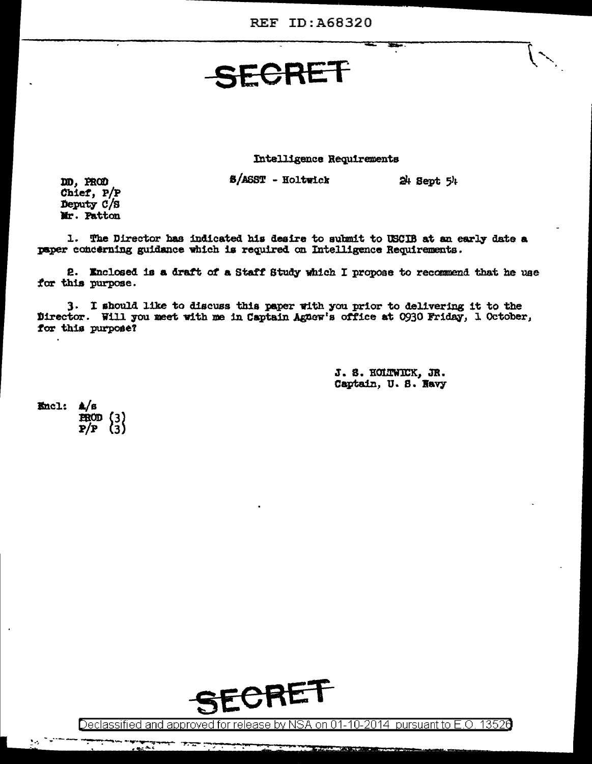## SECRET

Intelligence Requirements

S/ASST - Holtwick

 $24$  Sept  $54$ 

DD. PROD Chief, P/P Deputy C/S Mr. Patton

1. The Director has indicated his desire to submit to USCIB at an early date a paper concerning guidance which is required on Intelligence Requirements.

2. Enclosed is a draft of a Staff Study which I propose to recommend that he use for this purpose.

3. I should like to discuss this paper with you prior to delivering it to the Director. Will you meet with me in Captain Agnew's office at 0930 Friday, 1 October, for this purpose?

> J. S. HOLTWICK, JR. Captain, U.S. Navy

Encl: A/s  $\begin{array}{c}\n \text{ROD} \\
\text{P/P} \\
\text{3}\n \end{array}$ 



Declassified and approved for release by NSA on 01-10-2014 pursuant to E.O. 13526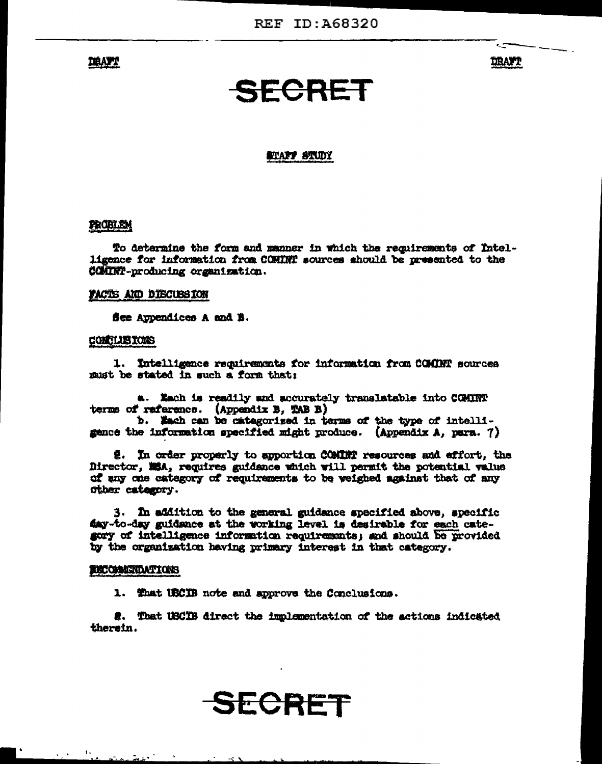**DRANT** 

**DRAFT** 

ċ.

### **SECRET**

#### SELANT STUDY

#### **PROBLEM**

To determine the form and manner in which the requirements of Intelligence for information from COMINT sources should be presented to the COMINT-producing organization.

#### FACTS AND DISCUSSION

See Appendices A and B.

#### CONCLUSIONS

1. Intelligence requirements for information from COMINT sources must be stated in such a form that:

a. Kach is readily and accurately translatable into COMINT terms of raference. (Appendix B, TAB B)

b. Whach can be categorized in terms of the type of intelligence the information specified might produce. (Appendix A, para. 7)

2. In order properly to apportion COMINT resources and affort, the Director, MSA, requires guidance which will permit the potential value of any one category of requirements to be weighed against that of any other category.

3. In addition to the general guidance specified above, specific fay-to-day guidance at the working level is desirable for each category of intelligence information requirements; and should be provided by the organization having primary interest in that category.

#### ENCOMMENDATIONS

1. That USCIB note and approve the Conclusions.

2. That USCIB direct the implementation of the actions indicated therein.

SECRET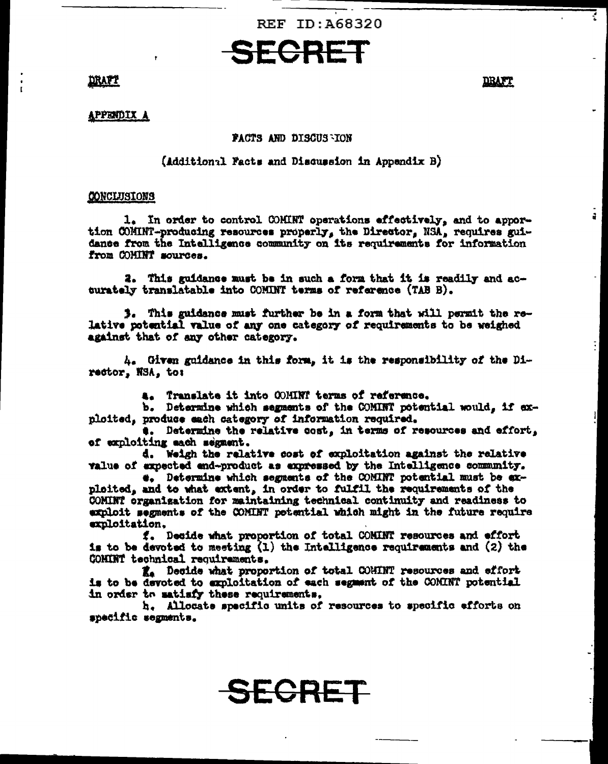

#### DRAFT

DRAFT

ã.

#### APPENDIX A

#### **PACTS AND DISCUS ION**

#### (Additional Facts and Discussion in Appendix B)

#### CONCLUSIONS

1. In order to control COMINT operations effectively, and to apportion COMINT-producing resources properly, the Director, NSA, requires guidance from the Intelligence community on its requirements for information from COMINT sources.

2. This guidance must be in such a form that it is readily and accurately translatable into COMINT terms of reference (TAB B).

3. This guidance must further be in a form that will permit the relative potential value of any one category of requirements to be weighed against that of any other category.

 $h_{\bullet}$  Given guidance in this form, it is the responsibility of the Director, NSA, to:

4. Translate it into COMINT terms of reference.

b. Determine which segments of the COMINT potential would, if exploited, produce each category of information required.

#. Determine the relative cost, in terms of resources and effort, of exploiting each segment.

d. Weigh the relative cost of exploitation against the relative value of expected end-product as expressed by the Intelligence community.

#. Determine which segments of the COMINT potential must be exploited, and to what extent, in order to fulfil the requirements of the COMINT organization for maintaining technical continuity and readiness to exploit segments of the COMINT potential which might in the future require exploitation,

f. Deside what proportion of total COMINT resources and effort is to be devoted to meeting  $(1)$  the Intelligence requirements and  $(2)$  the COMINT technical requirements.

R. Decide what proportion of total COHINT resources and effort is to be devoted to exploitation of each segment of the COMINT potential in order to matisfy these requirements,

h. Allocate specific units of resources to specific efforts on specific segments.

SECRET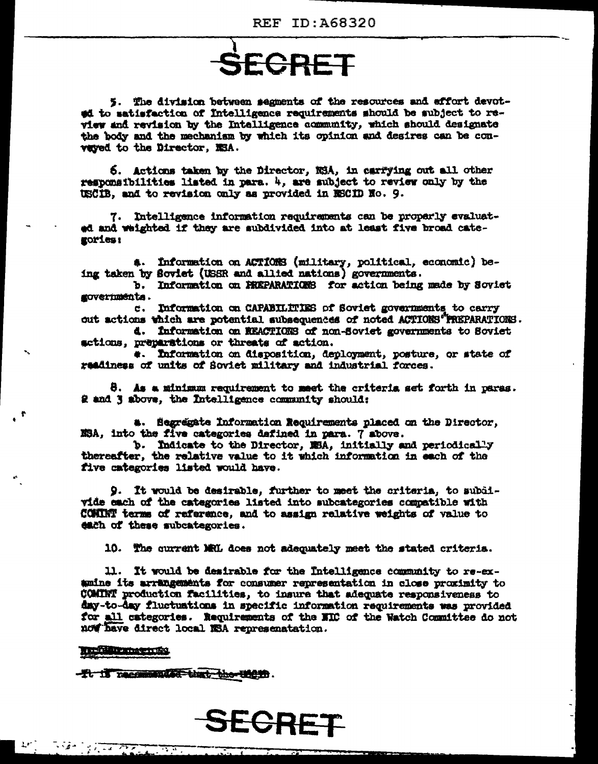# SECRET

5. The division between segments of the resources and effort devoted to satisfaction of Intelligence requirements should be subject to review and revision by the Intelligence community, which should designate the body and the mechanism by which its opinion and desires can be conveved to the Director. NSA.

6. Actions taken by the Director, NSA, in carrying out all other responsibilities listed in para.  $4$ , are subject to review only by the USCIB, and to revision only as provided in RECID No. 9.

7. Intelligence information requirements can be properly evaluated and weighted if they are subdivided into at least five broad categories:

a. Information on ACTIONS (military, political, economic) being taken by Soviet (USSR and allied nations) governments.

b. Information on FREPARATIONS for action being made by Soviet governmenta.

c. Information on CAPABILITIES of Soviet governments to carry out actions which are potential subsequences of noted ACTIONS "PREPARATIONS.

d. Information on NEACTIONS of non-Soviet governments to Soviet setions, preparations or threats of action.

#. Information on disposition, deployment, posture, or state of readiness of units of Soviet military and industrial forces.

8. As a minimum requirement to meet the criteris set forth in paras. 2 and 3 above, the Intelligence community should:

a. Segregate Information Requirements placed on the Director. XSA, into the five categories dafined in para. 7 above.

b. Indicate to the Director, MSA, initially and periodically thereafter, the relative value to it which information in each of the five categories listed would have.

9. It would be desirable, further to meet the criteria, to subdivide each of the categories listed into subcategories compatible with COMINT terms of reference, and to assign relative weights of value to each of these subcategories.

10. The current MRL does not adequately meet the stated criteria.

11. It would be desirable for the Intelligence community to re-examine its arrangements for consumer representation in close proximity to COMINT production facilities, to insure that adequate responsiveness to day-to-day fluctuations in specific information requirements was provided for all categories. Requirements of the NRC of the Watch Committee do not now have direct local NSA represenatation.

#### **film memory**

-Tt is recommended that the them.

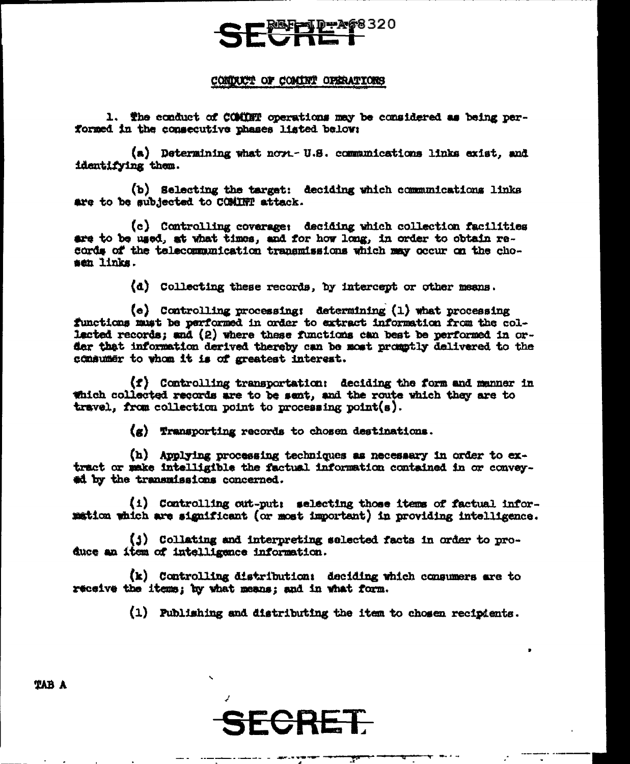#### CONDUCT OF COMINT OPERATIONS

1. The conduct of COMINT operations may be considered as being performed in the consecutive phases listed below:

(a) Determining what novi-U.S. communications links exist. and identifying them.

(b) Selecting the target: deciding which communications links are to be subjected to COMINT attack.

(c) Controlling coverage: deciding which collection facilities are to be used, at what times, and for how long, in order to obtain records of the telecommunication transmissions which may occur on the chosen links.

(d) Collecting these records, by intercept or other means.

 $(e)$  Controlling processing: determining  $(1)$  what processing functions must be performed in order to extract information from the collected records; and (2) where these functions can best be performed in order that information derived thereby can be most promptly delivered to the consumer to whom it is of greatest interest.

(f) Controlling transportation: deciding the form and manner in Which collected records are to be sent, and the route which they are to travel. from collection point to processing point(s).

(g) Transporting records to chosen destinations.

(h) Applying processing techniques as necessary in order to extract or make intelligible the factual information contained in or conveyad by the transmissions concerned.

(i) Controlling out-put: selecting those items of factual information which are significant (or most important) in providing intelligence.

(j) Collating and interpreting selected facts in order to produce an item of intelligence information.

(k) Controlling distribution: deciding which consumers are to receive the items; by what means; and in what form.

(1) Publishing and distributing the item to chosen recipients.

**TAB A**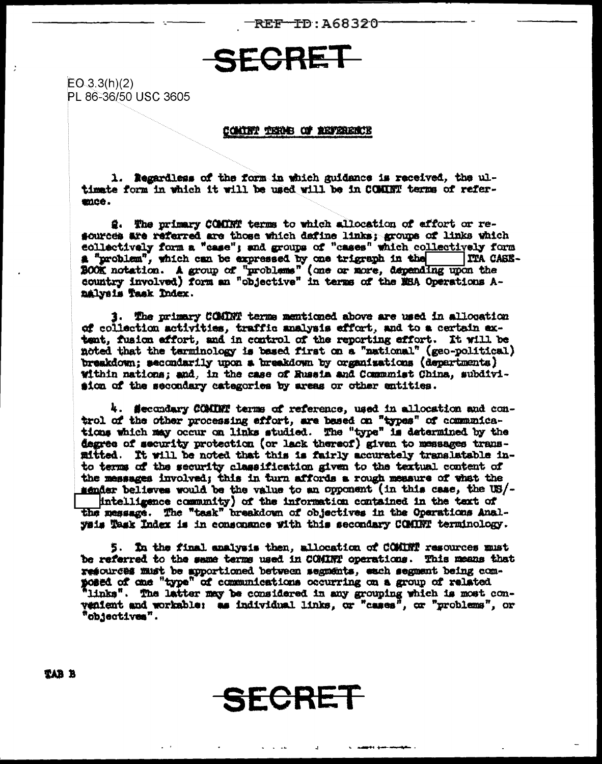REF-TD:A68320-

### SECRET

 $EO.3.3(h)(2)$ PL 86-36/50 USC 3605

 $\ddot{z}$ 

#### CONTRY TERMS OF REFERENCE

1. Regardless of the form in which guidance is received, the ultimete form in which it will be used will be in COMINT terms of refermee.

2. The primary COMINT terms to which allocation of effort or resources are referred are those which define links; groups of links which collectively form a "case"; and groups of "cases" which collectively form a "problem", which can be expressed by one trigraph in the **TTA CASE-**BOOK notation. A group of "problems" (one or more, depending upon the country involved) form an "objective" in terms of the MSA Operations Analveis Task Index.

3. The primary COMBY terms mentioned above are used in allocation of collection activities, traffic analysis effort, and to a certain extent, fusion affort, and in control of the reporting affort. It will be noted that the tarminology is based first on a "national" (geo-political) breakdown; secondarily upon a breakdown by organisations (departments) within nations: and, in the case of Russia and Communist China, subdivision of the secondary categories by areas or other entities.

4. Secondary COMINT terms of reference, used in allocation and control of the other processing effort, are based on "types" of communications which may occur on links studied. The "type" is determined by the degree of security protection (or lack thereof) given to messages transmitted. It will be noted that this is fairly accurately translatable into terms of the security classification given to the textual content of the messages involved; this in turn affords a rough measure of what the sender believes would be the value to an opponent (in this case, the US/intelligence community) of the information contained in the text of the message. The "task" breakdown of objectives in the Operations Analysis Task Index is in consonance with this secondary COMBT terminology.

5. In the final analysis then, allocation of COMINT resources must be referred to the same terms used in COMINT operations. This means that resources must be apportioned between segments. each segment being composed of one "type" of communications occurring on a group of related 'links". The latter may be considered in any grouping which is most convenient and workable: as individual links, or "cases", or "problems", or "objectives".

SECRET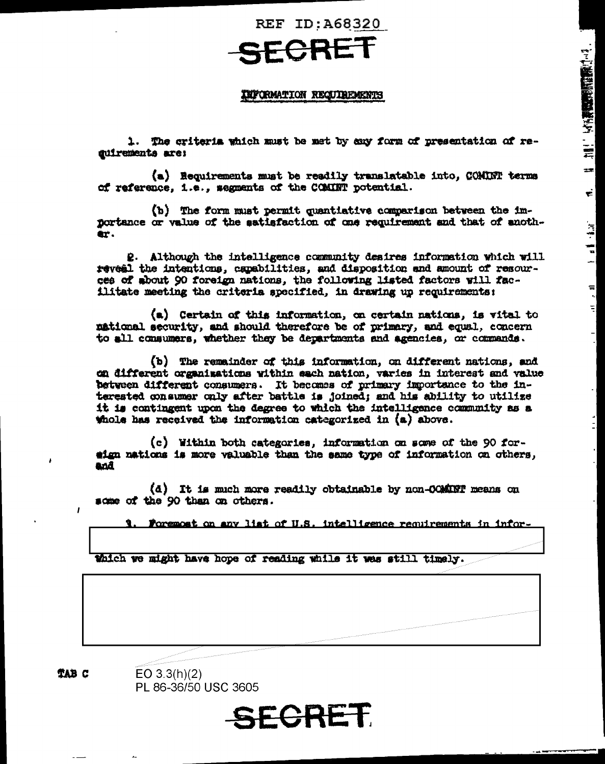## FCRET

### INFORMATION REQUIREMENTS

1. The criteria which must be met by cay form of presentation of resuirements are:

(a) Requirements must be readily translatable into. COMINT terms of reference, i.e., segments of the COMINT potential.

(b) The form must permit quantiative comparison between the importance or value of the satisfaction of one requirement and that of another.

2. Although the intelligence community desires information which will reveal the intentions, capabilities, and disposition and amount of resources of about 90 foreign nations, the following listed factors will facilitate meeting the criteria specified, in drawing up requirements:

(a) Certain of this information, on certain nations, is vital to national security, and should therefore be of primary, and equal, concern to all consumers, whether they be departments and agencies, or commands.

(b) The remainder of this information, on different nations, and on different organisations within each nation, varies in interest and value between different consumers. It becomes of primary importance to the interested consumer only after battle is joined; and his ability to utilize it is contingent upon the degree to which the intelligence community as a whole has received the information categorized in (a) above.

(c) Within both categories, information on some of the 90 foreign nations is more valuable than the same type of information on others, and

(d) It is much more readily obtainable by non-COMINT means on some of the 90 than on others.

Foremost on any list of U.S. intelligence requirements in infor-

thich we might have hope of reading while it was still timely.

**TAB C** 

 $\mathbf{r}$ 

 $EO 3.3(h)(2)$ PL 86-36/50 USC 3605

SECRET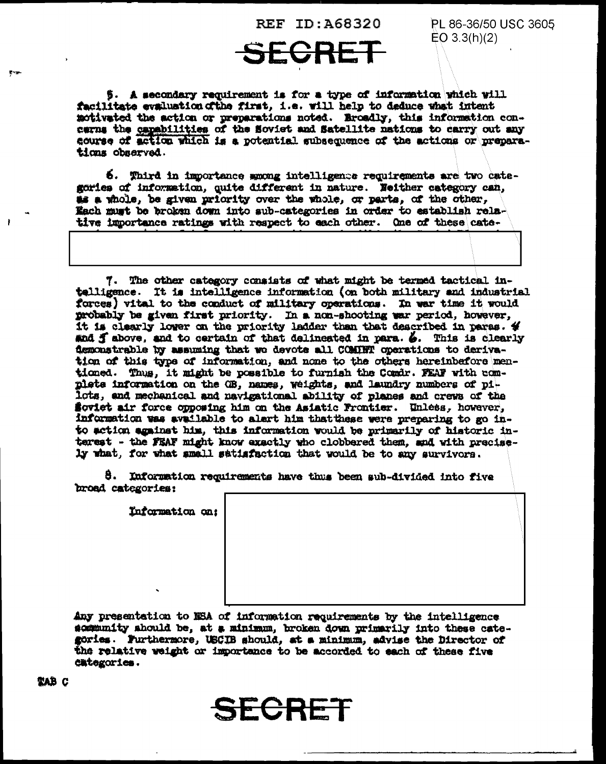PL 86-36/50 USC 3605  $EO 3.3(h)(2)$ 

5. A secondary requirement is for a type of information which will facilitate evaluation of the first, i.e. will help to deduce what intent motivated the action or preparations noted. Eroadly, this information concerns the capabilities of the Soviet and Satellite nations to carry out any course of action which is a potential subsequence of the actions or preparations observed.

6. Third in importance smong intelligence requirements are two categories of information, quite different in nature. Neither category can, as a whole, be given priority over the whole, or parts, of the other, Each must be broken down into sub-categories in order to establish relative importance ratings with respect to each other. One of these cate-

7. The other category consists of what might be termed tactical intelligence. It is intelligence information (on both military and industrial forces) vital to the conduct of military operations. In war time it would probably be given first priority. In a non-shooting war period, however, it is clearly lower on the priority ladder than that described in paras.  $\rlap{\hspace{0.1em}\raisebox{0.2em}{\scriptsize$}}\mathit{4}$ and  $f$  above, and to certain of that delineated in para.  $\delta$ . This is clearly demonstrable by assuming that we devote all COMBHT operations to derivation of this type of information, and none to the others hereinbefore mentioned. Thus, it might be possible to furnish the Comdr. FEAF with complete information on the GB, names, weights, and laundry numbers of pilots, and mechanical and navigational ability of planes and crews of the Soviet air force opposing him on the Asiatic Frontier. Unless, however, information was available to alert him that these were preparing to go into action against him, this information would be primarily of historic interest - the FEAF might know exactly who clobbered them, and with precisely what, for what small satisfaction that would be to any survivors.

8. Information requirements have thus been sub-divided into five broad categories:

Information on:

Any presentation to NSA of information requirements by the intelligence sommunity should be, at a minimum, broken down primarily into these categories. Furthermore, USCIB should, at a minimum, advise the Director of the relative weight or importance to be accorded to each of these five categories.

ECRET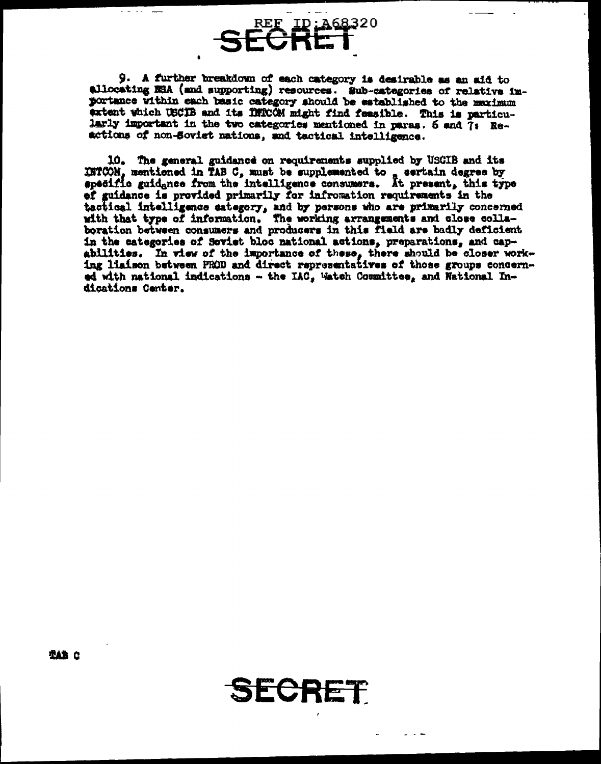9. A further breakdown of each category is desirable as an aid to allocating NBA (and supporting) resources. Sub-categories of relative importance within each basic category should be established to the maximum extent which USCIB and its INICOM might find feasible. This is particularly important in the two categories mentioned in paras. 6 and 7: Reactions of non-Soviet nations, and tactical intelligence.

REF ID: A68320

سوالي والمنابذ

10. The general guidance on requirements supplied by USCIB and its INTCON, memtioned in TAB C, must be supplemented to , sertain degree by apecific guidance from the intelligence consumers. At present, this type of guidance is provided primarily for infromation requirements in the tactical intelligence eategory, and by persons who are primarily concerned with that type of information. The working arrangements and close colla-boration between consumers and producers in this field are badly deficient in the categories of Soviet bloc national actions, preparations, and capabilities. In view of the importance of these, there should be closer work-<br>ing liaison between PROD and direct representatives of those groups concerned with national indications -- the IAC, Watch Committee, and National Indications Center.

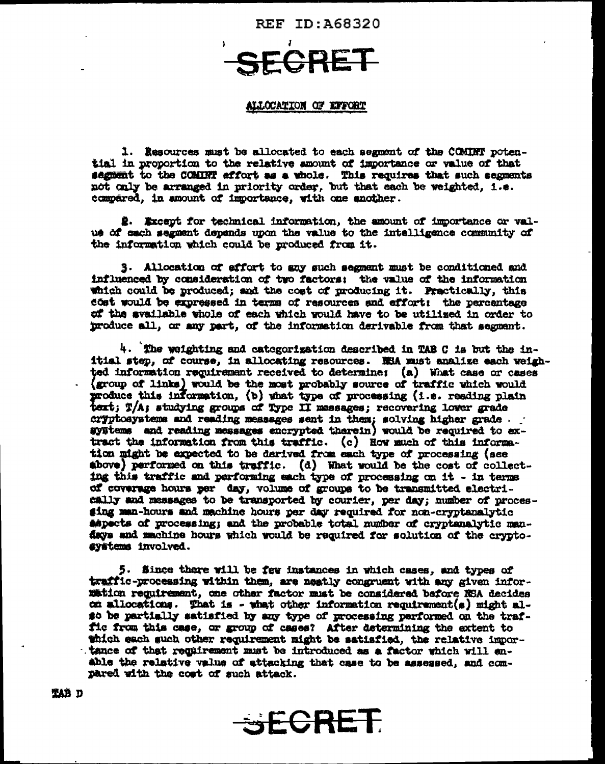SECRE

#### ALLOCATION OF EFFORT

1. Resources must be allocated to each segment of the COMINT potential in proportion to the relative amount of importance or value of that segment to the COMINT affort as a whole. This requires that such segments not only be arranged in priority order, but that each be weighted, i.e. compared, in amount of importance, with one another.

2. Except for technical information, the amount of importance or value of each segment depends upon the value to the intelligence community of the information which could be produced from it.

3. Allocation of effort to any such segment must be conditioned and influenced by consideration of two factors; the value of the information which could be produced; and the cost of producing it. Practically, this cost would be expressed in terms of resources and effort: the percentage of the svailable whole of each which would have to be utilized in order to produce all, or any part, of the information derivable from that segment.

4. The weighting and categorization described in TAB C is but the initial step, of course, in allocating resources. WHA must analize each weighted information requirement received to determine: (a) What case or cases (group of links) would be the most probably source of traffic which would produce this information, (b) what type of processing (i.e. reading plain text; T/A; studying groups of Type II massages; recovering lower grade cryptosystems and reading messages sent in them; solving higher grade. gyätems and reading messages encrypted therein) would be required to extract the information from this traffic. (c) How much of this information might be expected to be derived from each type of processing (see above) performed on this traffic. (d) What would be the cost of collecting this traffic and performing each type of processing on it - in terms of coverage hours per day, volume of groups to be transmitted electrically and messages to be transported by courier, per day; number of procesging man-hours and machine hours per day required for non-cryptanalytic aspects of processing; and the probable total number of cryptanalytic mandays and machine hours which would be required for solution of the cryptosystems involved.

5. Since there will be few instances in which cases, and types of traffic-processing within them, are neatly congruent with any given inforwation requirement, one other factor must be considered before NSA decides on allocations. That is - what other information requirement(s) might also be partially satisfied by any type of processing parformed on the traffic from this case, or group of cases? After determining the extent to thich each such other requirement might be satisfied, the relative importance of that requirement must be introduced as a factor which will enable the relative value of attacking that case to be assessed, and compared with the cost of such attack.